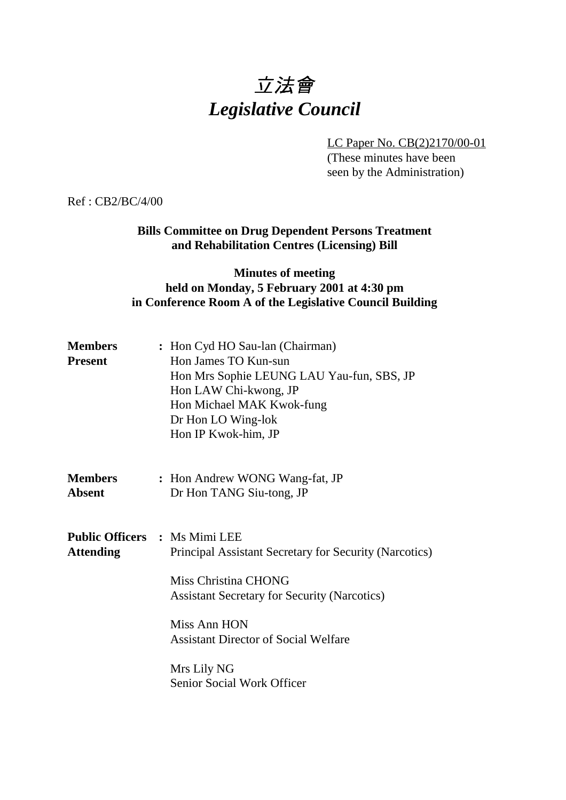# 立法會 *Legislative Council*

LC Paper No. CB(2)2170/00-01 (These minutes have been seen by the Administration)

Ref : CB2/BC/4/00

**Bills Committee on Drug Dependent Persons Treatment and Rehabilitation Centres (Licensing) Bill**

# **Minutes of meeting held on Monday, 5 February 2001 at 4:30 pm in Conference Room A of the Legislative Council Building**

| <b>Members</b><br><b>Present</b> | : Hon Cyd HO Sau-lan (Chairman)<br>Hon James TO Kun-sun<br>Hon Mrs Sophie LEUNG LAU Yau-fun, SBS, JP<br>Hon LAW Chi-kwong, JP<br>Hon Michael MAK Kwok-fung<br>Dr Hon LO Wing-lok<br>Hon IP Kwok-him, JP |
|----------------------------------|---------------------------------------------------------------------------------------------------------------------------------------------------------------------------------------------------------|
| Members<br>Absent                | : Hon Andrew WONG Wang-fat, JP<br>Dr Hon TANG Siu-tong, JP                                                                                                                                              |
| <b>Attending</b>                 | <b>Public Officers : Ms Mimi LEE</b><br>Principal Assistant Secretary for Security (Narcotics)<br>Miss Christina CHONG<br><b>Assistant Secretary for Security (Narcotics)</b>                           |
|                                  | Miss Ann HON<br><b>Assistant Director of Social Welfare</b>                                                                                                                                             |
|                                  | Mrs Lily NG<br>Senior Social Work Officer                                                                                                                                                               |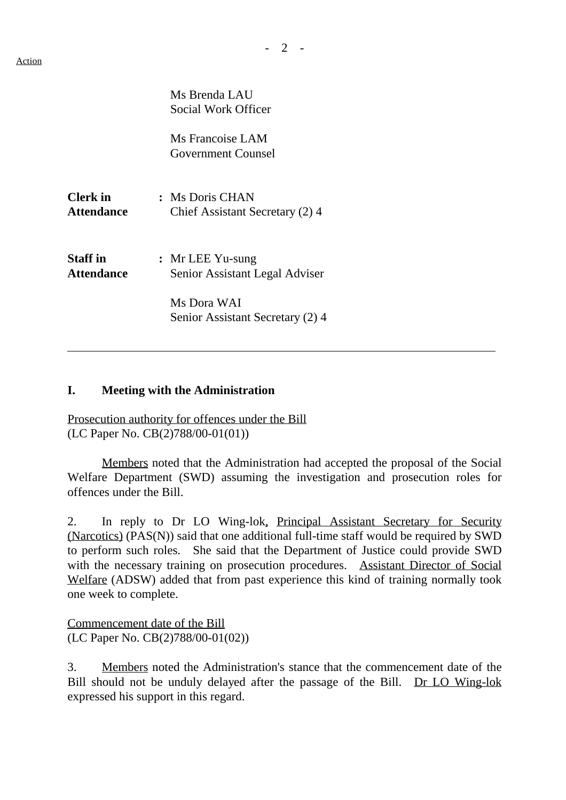|                               | Ms Brenda LAU<br>Social Work Officer               |  |
|-------------------------------|----------------------------------------------------|--|
|                               | Ms Francoise LAM<br>Government Counsel             |  |
| <b>Clerk</b> in<br>Attendance | : Ms Doris CHAN<br>Chief Assistant Secretary (2) 4 |  |
| <b>Staff in</b><br>Attendance | : Mr LEE Yu-sung<br>Senior Assistant Legal Adviser |  |
|                               | Ms Dora WAI<br>Senior Assistant Secretary (2) 4    |  |

#### **I. Meeting with the Administration**

Prosecution authority for offences under the Bill (LC Paper No. CB(2)788/00-01(01))

Members noted that the Administration had accepted the proposal of the Social Welfare Department (SWD) assuming the investigation and prosecution roles for offences under the Bill.

2. In reply to Dr LO Wing-lok, Principal Assistant Secretary for Security (Narcotics) (PAS(N)) said that one additional full-time staff would be required by SWD to perform such roles. She said that the Department of Justice could provide SWD with the necessary training on prosecution procedures. Assistant Director of Social Welfare (ADSW) added that from past experience this kind of training normally took one week to complete.

Commencement date of the Bill (LC Paper No. CB(2)788/00-01(02))

3. Members noted the Administration's stance that the commencement date of the Bill should not be unduly delayed after the passage of the Bill. Dr LO Wing-lok expressed his support in this regard.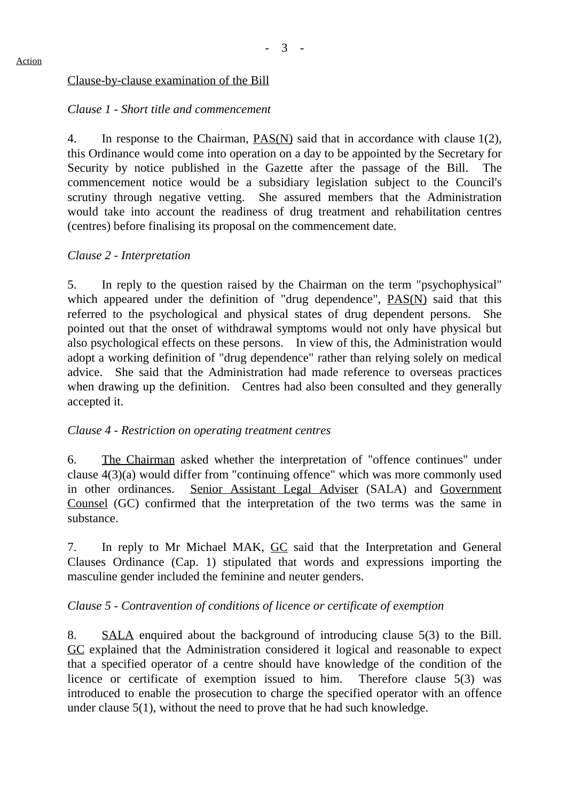## Clause-by-clause examination of the Bill

## *Clause 1 - Short title and commencement*

4. In response to the Chairman,  $PAS(N)$  said that in accordance with clause 1(2), this Ordinance would come into operation on a day to be appointed by the Secretary for Security by notice published in the Gazette after the passage of the Bill. commencement notice would be a subsidiary legislation subject to the Council's scrutiny through negative vetting. She assured members that the Administration would take into account the readiness of drug treatment and rehabilitation centres (centres) before finalising its proposal on the commencement date.

## *Clause 2 - Interpretation*

5. In reply to the question raised by the Chairman on the term "psychophysical" which appeared under the definition of "drug dependence",  $PAS(N)$  said that this referred to the psychological and physical states of drug dependent persons. She pointed out that the onset of withdrawal symptoms would not only have physical but also psychological effects on these persons. In view of this, the Administration would adopt a working definition of "drug dependence" rather than relying solely on medical advice. She said that the Administration had made reference to overseas practices when drawing up the definition. Centres had also been consulted and they generally accepted it.

#### *Clause 4 - Restriction on operating treatment centres*

6. The Chairman asked whether the interpretation of "offence continues" under clause 4(3)(a) would differ from "continuing offence" which was more commonly used in other ordinances. Senior Assistant Legal Adviser (SALA) and Government Counsel (GC) confirmed that the interpretation of the two terms was the same in substance.

7. In reply to Mr Michael MAK, GC said that the Interpretation and General Clauses Ordinance (Cap. 1) stipulated that words and expressions importing the masculine gender included the feminine and neuter genders.

# *Clause 5 - Contravention of conditions of licence or certificate of exemption*

8. SALA enquired about the background of introducing clause 5(3) to the Bill. GC explained that the Administration considered it logical and reasonable to expect that a specified operator of a centre should have knowledge of the condition of the licence or certificate of exemption issued to him. Therefore clause 5(3) was introduced to enable the prosecution to charge the specified operator with an offence under clause 5(1), without the need to prove that he had such knowledge.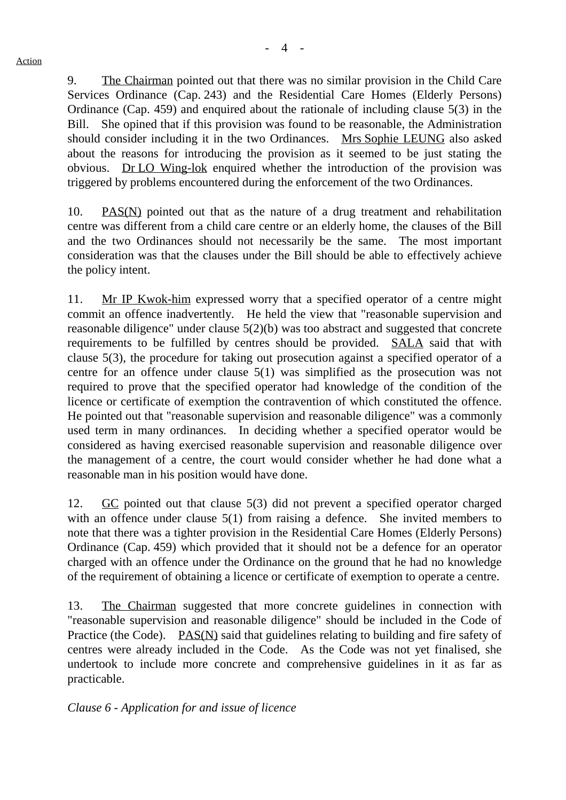9. The Chairman pointed out that there was no similar provision in the Child Care Services Ordinance (Cap. 243) and the Residential Care Homes (Elderly Persons) Ordinance (Cap.  $459$ ) and enquired about the rationale of including clause  $5(3)$  in the Bill. She opined that if this provision was found to be reasonable, the Administration should consider including it in the two Ordinances. Mrs Sophie LEUNG also asked about the reasons for introducing the provision as it seemed to be just stating the obvious. Dr LO Wing-lok enquired whether the introduction of the provision was triggered by problems encountered during the enforcement of the two Ordinances.

10. PAS(N) pointed out that as the nature of a drug treatment and rehabilitation centre was different from a child care centre or an elderly home, the clauses of the Bill and the two Ordinances should not necessarily be the same. The most important consideration was that the clauses under the Bill should be able to effectively achieve the policy intent.

11. Mr IP Kwok-him expressed worry that a specified operator of a centre might commit an offence inadvertently. He held the view that "reasonable supervision and reasonable diligence" under clause 5(2)(b) was too abstract and suggested that concrete requirements to be fulfilled by centres should be provided. SALA said that with clause 5(3), the procedure for taking out prosecution against a specified operator of a centre for an offence under clause 5(1) was simplified as the prosecution was not required to prove that the specified operator had knowledge of the condition of the licence or certificate of exemption the contravention of which constituted the offence. He pointed out that "reasonable supervision and reasonable diligence" was a commonly used term in many ordinances. In deciding whether a specified operator would be considered as having exercised reasonable supervision and reasonable diligence over the management of a centre, the court would consider whether he had done what a reasonable man in his position would have done.

12. GC pointed out that clause 5(3) did not prevent a specified operator charged with an offence under clause 5(1) from raising a defence. She invited members to note that there was a tighter provision in the Residential Care Homes (Elderly Persons) Ordinance (Cap. 459) which provided that it should not be a defence for an operator charged with an offence under the Ordinance on the ground that he had no knowledge of the requirement of obtaining a licence or certificate of exemption to operate a centre.

13. The Chairman suggested that more concrete guidelines in connection with "reasonable supervision and reasonable diligence" should be included in the Code of Practice (the Code). PAS(N) said that guidelines relating to building and fire safety of centres were already included in the Code. As the Code was not yet finalised, she undertook to include more concrete and comprehensive guidelines in it as far as practicable.

*Clause 6 - Application for and issue of licence*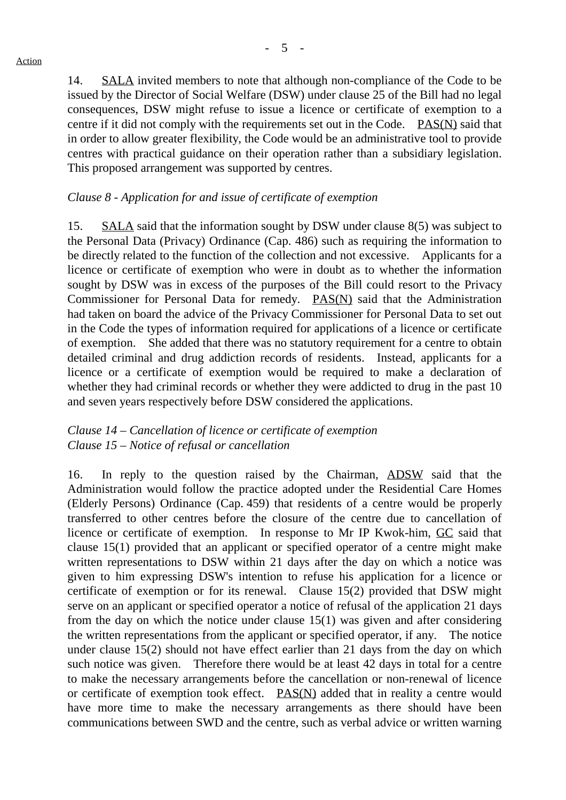14. SALA invited members to note that although non-compliance of the Code to be issued by the Director of Social Welfare (DSW) under clause 25 of the Bill had no legal consequences, DSW might refuse to issue a licence or certificate of exemption to a centre if it did not comply with the requirements set out in the Code. PAS(N) said that in order to allow greater flexibility, the Code would be an administrative tool to provide centres with practical guidance on their operation rather than a subsidiary legislation. This proposed arrangement was supported by centres.

#### *Clause 8 - Application for and issue of certificate of exemption*

15. SALA said that the information sought by DSW under clause 8(5) was subject to the Personal Data (Privacy) Ordinance (Cap. 486) such as requiring the information to be directly related to the function of the collection and not excessive. Applicants for a licence or certificate of exemption who were in doubt as to whether the information sought by DSW was in excess of the purposes of the Bill could resort to the Privacy Commissioner for Personal Data for remedy. PAS(N) said that the Administration had taken on board the advice of the Privacy Commissioner for Personal Data to set out in the Code the types of information required for applications of a licence or certificate of exemption. She added that there was no statutory requirement for a centre to obtain detailed criminal and drug addiction records of residents. Instead, applicants for a licence or a certificate of exemption would be required to make a declaration of whether they had criminal records or whether they were addicted to drug in the past 10 and seven years respectively before DSW considered the applications.

# *Clause 14 – Cancellation of licence or certificate of exemption Clause 15 – Notice of refusal or cancellation*

16. In reply to the question raised by the Chairman, ADSW said that the Administration would follow the practice adopted under the Residential Care Homes (Elderly Persons) Ordinance (Cap. 459) that residents of a centre would be properly transferred to other centres before the closure of the centre due to cancellation of licence or certificate of exemption. In response to Mr IP Kwok-him, GC said that clause 15(1) provided that an applicant or specified operator of a centre might make written representations to DSW within 21 days after the day on which a notice was given to him expressing DSW's intention to refuse his application for a licence or certificate of exemption or for its renewal. Clause 15(2) provided that DSW might serve on an applicant or specified operator a notice of refusal of the application 21 days from the day on which the notice under clause 15(1) was given and after considering the written representations from the applicant or specified operator, if any. The notice under clause 15(2) should not have effect earlier than 21 days from the day on which such notice was given. Therefore there would be at least 42 days in total for a centre to make the necessary arrangements before the cancellation or non-renewal of licence or certificate of exemption took effect. PAS(N) added that in reality a centre would have more time to make the necessary arrangements as there should have been communications between SWD and the centre, such as verbal advice or written warning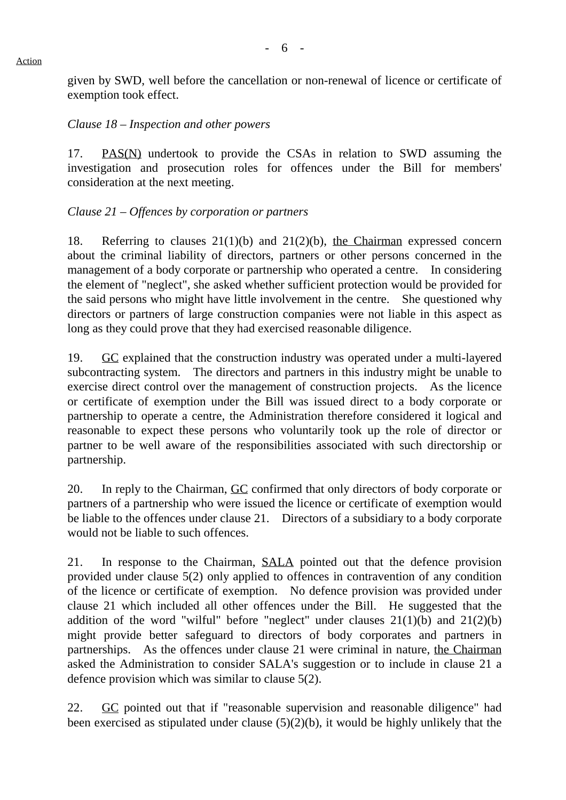given by SWD, well before the cancellation or non-renewal of licence or certificate of exemption took effect.

#### *Clause 18 – Inspection and other powers*

17. PAS(N) undertook to provide the CSAs in relation to SWD assuming the investigation and prosecution roles for offences under the Bill for members' consideration at the next meeting.

## *Clause 21 – Offences by corporation or partners*

18. Referring to clauses 21(1)(b) and 21(2)(b), the Chairman expressed concern about the criminal liability of directors, partners or other persons concerned in the management of a body corporate or partnership who operated a centre. In considering the element of "neglect", she asked whether sufficient protection would be provided for the said persons who might have little involvement in the centre. She questioned why directors or partners of large construction companies were not liable in this aspect as long as they could prove that they had exercised reasonable diligence.

19. GC explained that the construction industry was operated under a multi-layered subcontracting system. The directors and partners in this industry might be unable to exercise direct control over the management of construction projects. As the licence or certificate of exemption under the Bill was issued direct to a body corporate or partnership to operate a centre, the Administration therefore considered it logical and reasonable to expect these persons who voluntarily took up the role of director or partner to be well aware of the responsibilities associated with such directorship or partnership.

20. In reply to the Chairman, GC confirmed that only directors of body corporate or partners of a partnership who were issued the licence or certificate of exemption would be liable to the offences under clause 21. Directors of a subsidiary to a body corporate would not be liable to such offences.

21. In response to the Chairman, SALA pointed out that the defence provision provided under clause 5(2) only applied to offences in contravention of any condition of the licence or certificate of exemption. No defence provision was provided under clause 21 which included all other offences under the Bill. He suggested that the addition of the word "wilful" before "neglect" under clauses  $21(1)(b)$  and  $21(2)(b)$ might provide better safeguard to directors of body corporates and partners in partnerships. As the offences under clause 21 were criminal in nature, the Chairman asked the Administration to consider SALA's suggestion or to include in clause 21 a defence provision which was similar to clause 5(2).

22. GC pointed out that if "reasonable supervision and reasonable diligence" had been exercised as stipulated under clause (5)(2)(b), it would be highly unlikely that the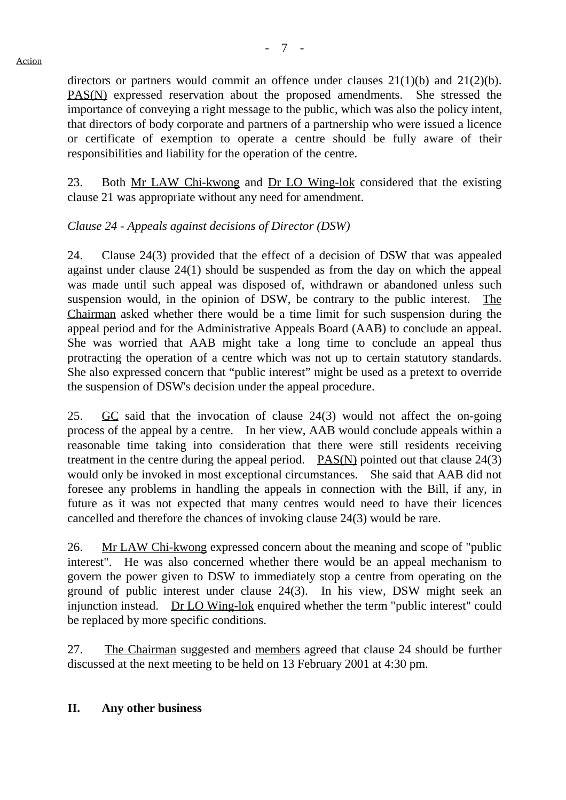directors or partners would commit an offence under clauses 21(1)(b) and 21(2)(b). PAS(N) expressed reservation about the proposed amendments. She stressed the importance of conveying a right message to the public, which was also the policy intent, that directors of body corporate and partners of a partnership who were issued a licence or certificate of exemption to operate a centre should be fully aware of their responsibilities and liability for the operation of the centre.

23. Both Mr LAW Chi-kwong and Dr LO Wing-lok considered that the existing clause 21 was appropriate without any need for amendment.

# *Clause 24 - Appeals against decisions of Director (DSW)*

24. Clause 24(3) provided that the effect of a decision of DSW that was appealed against under clause 24(1) should be suspended as from the day on which the appeal was made until such appeal was disposed of, withdrawn or abandoned unless such suspension would, in the opinion of DSW, be contrary to the public interest. The Chairman asked whether there would be a time limit for such suspension during the appeal period and for the Administrative Appeals Board (AAB) to conclude an appeal. She was worried that AAB might take a long time to conclude an appeal thus protracting the operation of a centre which was not up to certain statutory standards. She also expressed concern that "public interest" might be used as a pretext to override the suspension of DSW's decision under the appeal procedure.

25.  $\overline{GC}$  said that the invocation of clause 24(3) would not affect the on-going process of the appeal by a centre. In her view, AAB would conclude appeals within a reasonable time taking into consideration that there were still residents receiving treatment in the centre during the appeal period.  $PAS(N)$  pointed out that clause 24(3) would only be invoked in most exceptional circumstances. She said that AAB did not foresee any problems in handling the appeals in connection with the Bill, if any, in future as it was not expected that many centres would need to have their licences cancelled and therefore the chances of invoking clause 24(3) would be rare.

26. Mr LAW Chi-kwong expressed concern about the meaning and scope of "public interest". He was also concerned whether there would be an appeal mechanism to govern the power given to DSW to immediately stop a centre from operating on the ground of public interest under clause 24(3). In his view, DSW might seek an injunction instead. Dr LO Wing-lok enquired whether the term "public interest" could be replaced by more specific conditions.

27. The Chairman suggested and members agreed that clause 24 should be further discussed at the next meeting to be held on 13 February 2001 at 4:30 pm.

#### **II. Any other business**